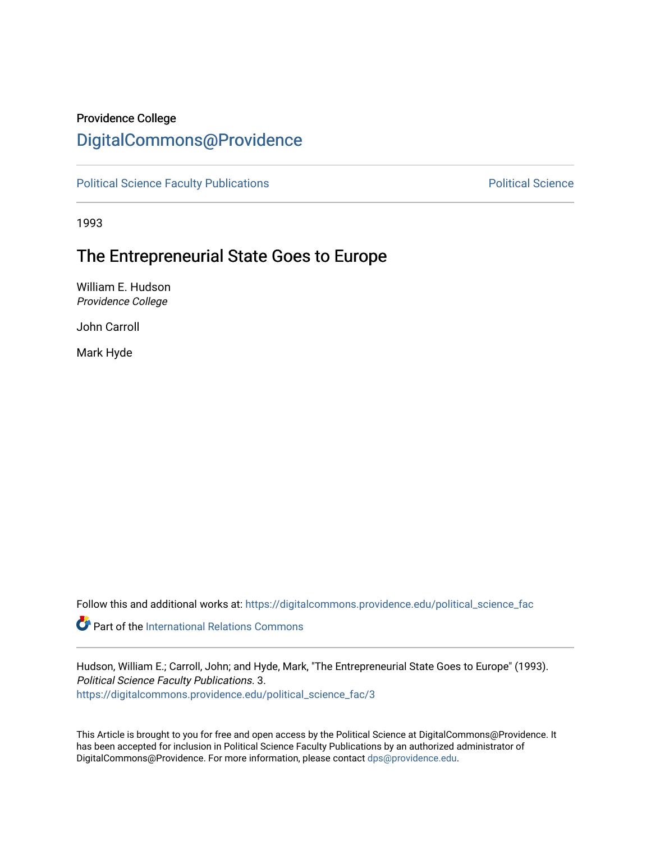# Providence College

# [DigitalCommons@Providence](https://digitalcommons.providence.edu/)

[Political Science Faculty Publications](https://digitalcommons.providence.edu/political_science_fac) **Political Science** Political Science

1993

# The Entrepreneurial State Goes to Europe

William E. Hudson Providence College

John Carroll

Mark Hyde

Follow this and additional works at: [https://digitalcommons.providence.edu/political\\_science\\_fac](https://digitalcommons.providence.edu/political_science_fac?utm_source=digitalcommons.providence.edu%2Fpolitical_science_fac%2F3&utm_medium=PDF&utm_campaign=PDFCoverPages)

**C** Part of the International Relations Commons

Hudson, William E.; Carroll, John; and Hyde, Mark, "The Entrepreneurial State Goes to Europe" (1993). Political Science Faculty Publications. 3. [https://digitalcommons.providence.edu/political\\_science\\_fac/3](https://digitalcommons.providence.edu/political_science_fac/3?utm_source=digitalcommons.providence.edu%2Fpolitical_science_fac%2F3&utm_medium=PDF&utm_campaign=PDFCoverPages) 

This Article is brought to you for free and open access by the Political Science at DigitalCommons@Providence. It has been accepted for inclusion in Political Science Faculty Publications by an authorized administrator of DigitalCommons@Providence. For more information, please contact [dps@providence.edu.](mailto:dps@providence.edu)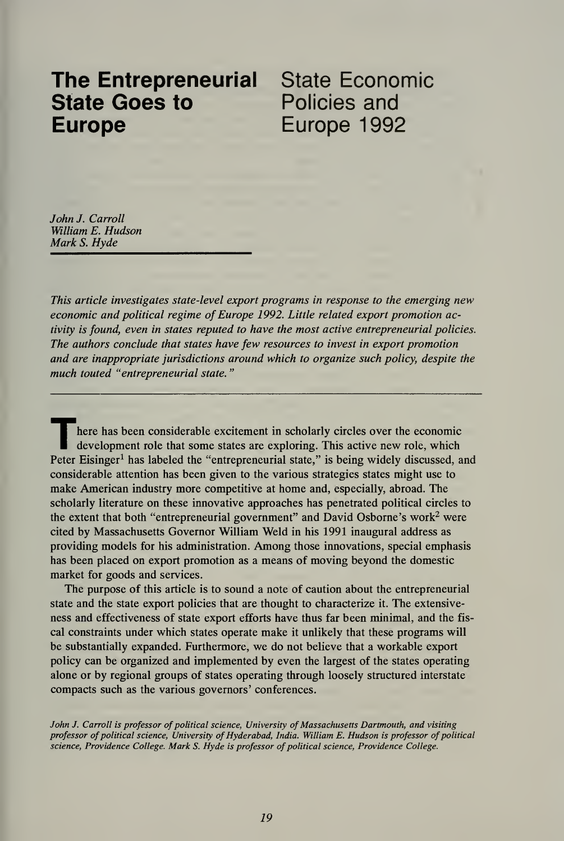# **The Entrepreneurial** State Economic<br>**State Goes to** Policies and **State Goes to** Europe Europe 1992

John J. Carroll William E. Hudson Mark S. Hyde

This article investigates state-level export programs in response to the emerging new economic and political regime of Europe 1992. Little related export promotion activity is found, even in states reputed to have the most active entrepreneurial policies. The authors conclude that states have few resources to invest in export promotion and are inappropriate jurisdictions around which to organize such policy, despite the much touted "entrepreneurial state."

here has been considerable excitement in scholarly circles over the economic development role that some states are exploring. This active new role, which Peter Eisinger<sup>1</sup> has labeled the "entrepreneurial state," is being widely discussed, and considerable attention has been given to the various strategies states might use to make American industry more competitive at home and, especially, abroad. The scholarly literature on these innovative approaches has penetrated political circles to the extent that both "entrepreneurial government" and David Osborne's work<sup>2</sup> were cited by Massachusetts Governor William Weld in his 1991 inaugural address as providing models for his administration. Among those innovations, special emphasis has been placed on export promotion as a means of moving beyond the domestic market for goods and services.

The purpose of this article is to sound a note of caution about the entrepreneurial state and the state export policies that are thought to characterize it. The extensive ness and effectiveness of state export efforts have thus far been minimal, and the fis cal constraints under which states operate make it unlikely that these programs will be substantially expanded. Furthermore, we do not believe that a workable export policy can be organized and implemented by even the largest of the states operating alone or by regional groups of states operating through loosely structured interstate compacts such as the various governors' conferences.

John J. Carroll is professor of political science, University of Massachusetts Dartmouth, and visiting professor of political science, University of Hyderabad, India. William E. Hudson is professor of political science, Providence College. Mark S. Hyde is professor of political science, Providence College.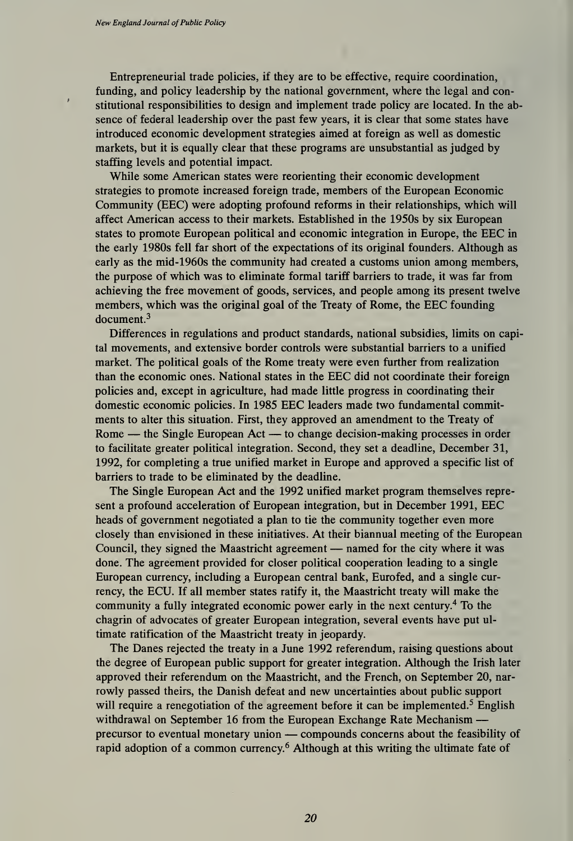Entrepreneurial trade policies, if they are to be effective, require coordination, funding, and policy leadership by the national government, where the legal and constitutional responsibilities to design and implement trade policy are located. In the ab sence of federal leadership over the past few years, it is clear that some states have introduced economic development strategies aimed at foreign as well as domestic markets, but it is equally clear that these programs are unsubstantial as judged by staffing levels and potential impact.

While some American states were reorienting their economic development strategies to promote increased foreign trade, members of the European Economic Community (EEC) were adopting profound reforms in their relationships, which will affect American access to their markets. Established in the 1950s by six European states to promote European political and economic integration in Europe, the EEC in the early 1980s fell far short of the expectations of its original founders. Although as early as the mid-1960s the community had created a customs union among members, the purpose of which was to eliminate formal tariff barriers to trade, it was far from achieving the free movement of goods, services, and people among its present twelve members, which was the original goal of the Treaty of Rome, the EEC founding document.<sup>3</sup>

Differences in regulations and product standards, national subsidies, limits on capital movements, and extensive border controls were substantial barriers to a unified market. The political goals of the Rome treaty were even further from realization than the economic ones. National states in the EEC did not coordinate their foreign policies and, except in agriculture, had made little progress in coordinating their domestic economic policies. In 1985 EEC leaders made two fundamental commitments to alter this situation. First, they approved an amendment to the Treaty of Rome — the Single European Act — to change decision-making processes in order to facilitate greater political integration. Second, they set a deadline, December 31, 1992, for completing a true unified market in Europe and approved a specific list of barriers to trade to be eliminated by the deadline.

The Single European Act and the 1992 unified market program themselves repre sent <sup>a</sup> profound acceleration of European integration, but in December 1991, EEC heads of government negotiated a plan to tie the community together even more closely than envisioned in these initiatives. At their biannual meeting of the European Council, they signed the Maastricht agreement — named for the city where it was done. The agreement provided for closer political cooperation leading to a single European currency, including a European central bank, Eurofed, and a single cur rency, the ECU. If all member states ratify it, the Maastricht treaty will make the community <sup>a</sup> fully integrated economic power early in the next century.<sup>4</sup> To the chagrin of advocates of greater European integration, several events have put ul timate ratification of the Maastricht treaty in jeopardy.

The Danes rejected the treaty in a June 1992 referendum, raising questions about the degree of European public support for greater integration. Although the Irish later approved their referendum on the Maastricht, and the French, on September 20, nar rowly passed theirs, the Danish defeat and new uncertainties about public support will require a renegotiation of the agreement before it can be implemented.<sup>5</sup> English withdrawal on September <sup>16</sup> from the European Exchange Rate Mechanism precursor to eventual monetary union — compounds concerns about the feasibility of rapid adoption of <sup>a</sup> common currency. <sup>6</sup> Although at this writing the ultimate fate of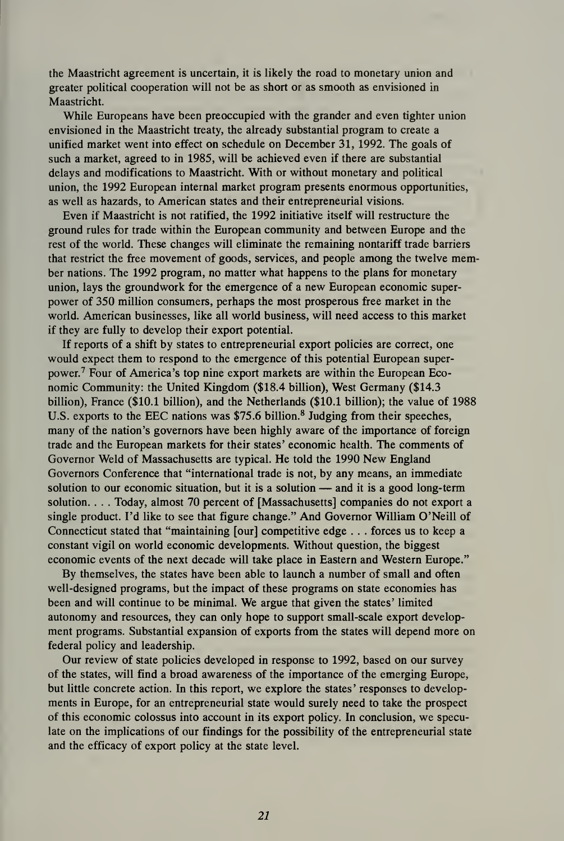the Maastricht agreement is uncertain, it is likely the road to monetary union and greater political cooperation will not be as short or as smooth as envisioned in Maastricht.

While Europeans have been preoccupied with the grander and even tighter union envisioned in the Maastricht treaty, the already substantial program to create a unified market went into effect on schedule on December 31, 1992. The goals of such a market, agreed to in 1985, will be achieved even if there are substantial delays and modifications to Maastricht. With or without monetary and political union, the 1992 European internal market program presents enormous opportunities, as well as hazards, to American states and their entrepreneurial visions.

Even if Maastricht is not ratified, the 1992 initiative itself will restructure the ground rules for trade within the European community and between Europe and the rest of the world. These changes will eliminate the remaining nontariff trade barriers that restrict the free movement of goods, services, and people among the twelve member nations. The 1992 program, no matter what happens to the plans for monetary union, lays the groundwork for the emergence of a new European economic super power of 350 million consumers, perhaps the most prosperous free market in the world. American businesses, like all world business, will need access to this market if they are fully to develop their export potential.

If reports of a shift by states to entrepreneurial export policies are correct, one would expect them to respond to the emergence of this potential European super power.<sup>7</sup> Four of America's top nine export markets are within the European Economic Community: the United Kingdom (\$18.4 billion), West Germany (\$14.3 billion), France (\$10.1 billion), and the Netherlands (\$10.1 billion); the value of 1988 U.S. exports to the EEC nations was \$75.6 billion.<sup>8</sup> Judging from their speeches, many of the nation's governors have been highly aware of the importance of foreign trade and the European markets for their states' economic health. The comments of Governor Weld of Massachusetts are typical. He told the 1990 New England Governors Conference that "international trade is not, by any means, an immediate solution to our economic situation, but it is a solution  $-$  and it is a good long-term solution. . .. Today, almost 70 percent of [Massachusetts] companies do not export a single product. I'd like to see that figure change." And Governor William O'Neill of Connecticut stated that "maintaining [our] competitive edge . . . forces us to keep a constant vigil on world economic developments. Without question, the biggest economic events of the next decade will take place in Eastern and Western Europe."

By themselves, the states have been able to launch a number of small and often well-designed programs, but the impact of these programs on state economies has been and will continue to be minimal. We argue that given the states' limited autonomy and resources, they can only hope to support small-scale export development programs. Substantial expansion of exports from the states will depend more on federal policy and leadership.

Our review of state policies developed in response to 1992, based on our survey of the states, will find a broad awareness of the importance of the emerging Europe, but little concrete action. In this report, we explore the states' responses to developments in Europe, for an entrepreneurial state would surely need to take the prospect of this economic colossus into account in its export policy. In conclusion, we speculate on the implications of our findings for the possibility of the entrepreneurial state and the efficacy of export policy at the state level.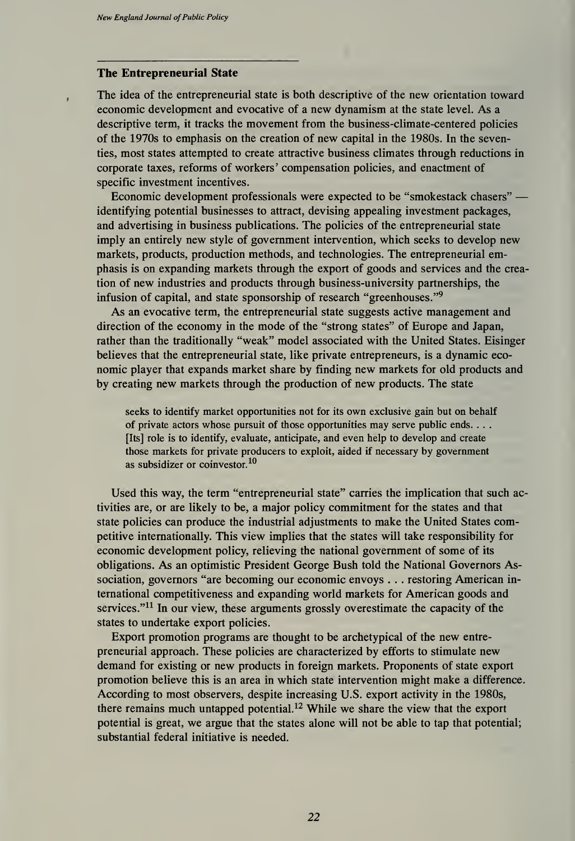## The Entrepreneurial State

The idea of the entrepreneurial state is both descriptive of the new orientation toward economic development and evocative of a new dynamism at the state level. As <sup>a</sup>descriptive term, it tracks the movement from the business-climate-centered policies of the 1970s to emphasis on the creation of new capital in the 1980s. In the seventies, most states attempted to create attractive business climates through reductions in corporate taxes, reforms of workers' compensation policies, and enactment of specific investment incentives.

Economic development professionals were expected to be "smokestack chasers" identifying potential businesses to attract, devising appealing investment packages, and advertising in business publications. The policies of the entrepreneurial state imply an entirely new style of government intervention, which seeks to develop new markets, products, production methods, and technologies. The entrepreneurial emphasis is on expanding markets through the export of goods and services and the creation of new industries and products through business-university partnerships, the infusion of capital, and state sponsorship of research "greenhouses."<sup>9</sup>

As an evocative term, the entrepreneurial state suggests active management and direction of the economy in the mode of the "strong states" of Europe and Japan, rather than the traditionally "weak" model associated with the United States. Eisinger believes that the entrepreneurial state, like private entrepreneurs, is a dynamic eco nomic player that expands market share by finding new markets for old products and by creating new markets through the production of new products. The state

seeks to identify market opportunities not for its own exclusive gain but on behalf of private actors whose pursuit of those opportunities may serve public ends. . .. [Its] role is to identify, evaluate, anticipate, and even help to develop and create those markets for private producers to exploit, aided if necessary by government as subsidizer or coinvestor.<sup>10</sup>

Used this way, the term "entrepreneurial state" carries the implication that such activities are, or are likely to be, a major policy commitment for the states and that state policies can produce the industrial adjustments to make the United States competitive internationally. This view implies that the states will take responsibility for economic development policy, relieving the national government of some of its obligations. As an optimistic President George Bush told the National Governors Association, governors "are becoming our economic envoys . . . restoring American in ternational competitiveness and expanding world markets for American goods and services."<sup>11</sup> In our view, these arguments grossly overestimate the capacity of the states to undertake export policies.

Export promotion programs are thought to be archetypical of the new entre preneurial approach. These policies are characterized by efforts to stimulate new demand for existing or new products in foreign markets. Proponents of state export promotion believe this is an area in which state intervention might make a difference. According to most observers, despite increasing U.S. export activity in the 1980s, there remains much untapped potential.<sup>12</sup> While we share the view that the export potential is great, we argue that the states alone will not be able to tap that potential; substantial federal initiative is needed.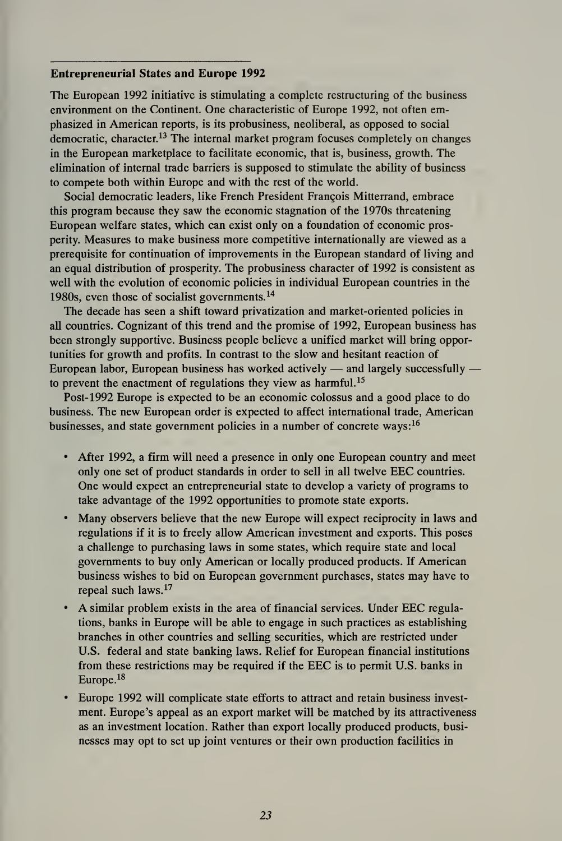### Entrepreneurial States and Europe 1992

The European 1992 initiative is stimulating a complete restructuring of the business environment on the Continent. One characteristic of Europe 1992, not often emphasized in American reports, is its probusiness, neoliberal, as opposed to social democratic, character.<sup>13</sup> The internal market program focuses completely on changes in the European marketplace to facilitate economic, that is, business, growth. The elimination of internal trade barriers is supposed to stimulate the ability of business to compete both within Europe and with the rest of the world.

Social democratic leaders, like French President Francois Mitterrand, embrace this program because they saw the economic stagnation of the 1970s threatening European welfare states, which can exist only on a foundation of economic prosperity. Measures to make business more competitive internationally are viewed as a prerequisite for continuation of improvements in the European standard of living and an equal distribution of prosperity. The probusiness character of 1992 is consistent as well with the evolution of economic policies in individual European countries in the 1980s, even those of socialist governments. <sup>14</sup>

The decade has seen a shift toward privatization and market-oriented policies in all countries. Cognizant of this trend and the promise of 1992, European business has been strongly supportive. Business people believe a unified market will bring opportunities for growth and profits. In contrast to the slow and hesitant reaction of European labor, European business has worked actively — and largely successfully to prevent the enactment of regulations they view as harmful.<sup>15</sup>

Post- 1992 Europe is expected to be an economic colossus and a good place to do business. The new European order is expected to affect international trade, American businesses, and state government policies in a number of concrete ways:  $16$ 

- After 1992, a firm will need a presence in only one European country and meet only one set of product standards in order to sell in all twelve EEC countries. One would expect an entrepreneurial state to develop a variety of programs to take advantage of the 1992 opportunities to promote state exports.
- Many observers believe that the new Europe will expect reciprocity in laws and regulations if it is to freely allow American investment and exports. This poses a challenge to purchasing laws in some states, which require state and local governments to buy only American or locally produced products. If American business wishes to bid on European government purchases, states may have to repeal such laws. <sup>17</sup>
- A similar problem exists in the area of financial services. Under EEC regulations, banks in Europe will be able to engage in such practices as establishing branches in other countries and selling securities, which are restricted under U.S. federal and state banking laws. Relief for European financial institutions from these restrictions may be required if the EEC is to permit U.S. banks in Europe.<sup>18</sup>
- Europe 1992 will complicate state efforts to attract and retain business invest ment. Europe's appeal as an export market will be matched by its attractiveness as an investment location. Rather than export locally produced products, busi nesses may opt to set up joint ventures or their own production facilities in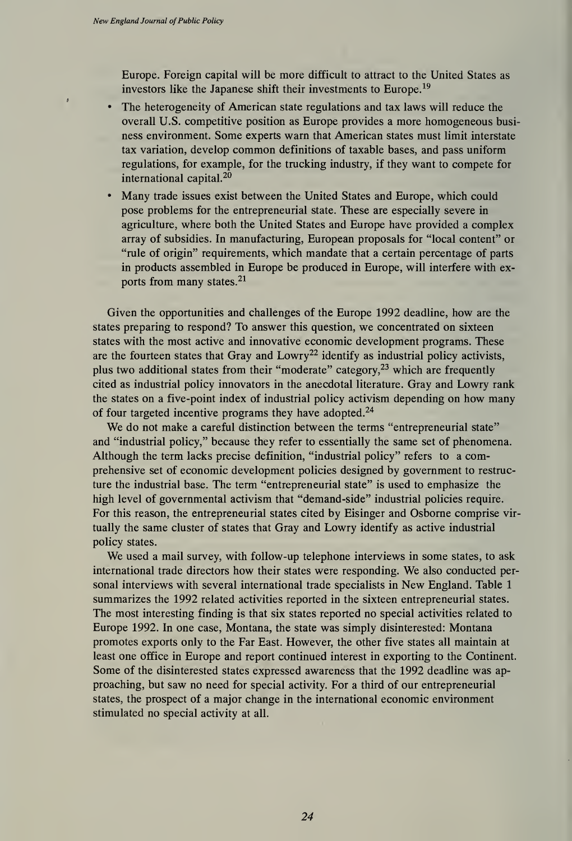Europe. Foreign capital will be more difficult to attract to the United States as investors like the Japanese shift their investments to Europe.<sup>19</sup>

- The heterogeneity of American state regulations and tax laws will reduce the overall U.S. competitive position as Europe provides a more homogeneous busi ness environment. Some experts warn that American states must limit interstate tax variation, develop common definitions of taxable bases, and pass uniform regulations, for example, for the trucking industry, if they want to compete for international capital. <sup>20</sup>
- Many trade issues exist between the United States and Europe, which could pose problems for the entrepreneurial state. These are especially severe in agriculture, where both the United States and Europe have provided a complex array of subsidies. In manufacturing, European proposals for "local content" or "rule of origin" requirements, which mandate that a certain percentage of parts in products assembled in Europe be produced in Europe, will interfere with exports from many states.<sup>21</sup>

Given the opportunities and challenges of the Europe 1992 deadline, how are the states preparing to respond? To answer this question, we concentrated on sixteen states with the most active and innovative economic development programs. These are the fourteen states that Gray and Lowry<sup>22</sup> identify as industrial policy activists, plus two additional states from their "moderate" category, $23$  which are frequently cited as industrial policy innovators in the anecdotal literature. Gray and Lowry rank the states on <sup>a</sup> five-point index of industrial policy activism depending on how many of four targeted incentive programs they have adopted.<sup>24</sup>

We do not make a careful distinction between the terms "entrepreneurial state" and "industrial policy," because they refer to essentially the same set of phenomena. Although the term lacks precise definition, "industrial policy" refers to a comprehensive set of economic development policies designed by government to restructure the industrial base. The term "entrepreneurial state" is used to emphasize the high level of governmental activism that "demand-side" industrial policies require. For this reason, the entrepreneurial states cited by Eisinger and Osborne comprise vir tually the same cluster of states that Gray and Lowry identify as active industrial policy states.

We used <sup>a</sup> mail survey, with follow-up telephone interviews in some states, to ask international trade directors how their states were responding. We also conducted per sonal interviews with several international trade specialists in New England. Table <sup>1</sup> summarizes the 1992 related activities reported in the sixteen entrepreneurial states. The most interesting finding is that six states reported no special activities related to Europe 1992. In one case, Montana, the state was simply disinterested: Montana promotes exports only to the Far East. However, the other five states all maintain at least one office in Europe and report continued interest in exporting to the Continent. Some of the disinterested states expressed awareness that the 1992 deadline was ap proaching, but saw no need for special activity. For a third of our entrepreneurial states, the prospect of a major change in the international economic environment stimulated no special activity at all.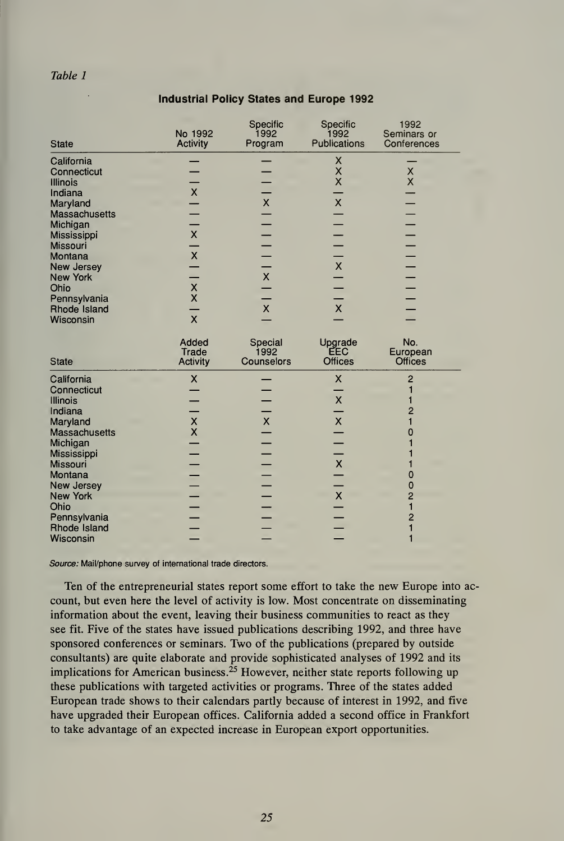### Table 1

| <b>State</b>                                            | No 1992<br><b>Activity</b>                    | Specific<br>1992<br>Program   | Specific<br>1992<br>Publications  | 1992<br>Seminars or<br>Conferences    |
|---------------------------------------------------------|-----------------------------------------------|-------------------------------|-----------------------------------|---------------------------------------|
| California<br>Connecticut<br><b>Illinois</b><br>Indiana | $\pmb{\mathsf{X}}$                            |                               | x<br>X<br>$\overline{\mathsf{x}}$ | $\pmb{\times}$<br>$\times$            |
| Maryland<br>Massachusetts<br>Michigan                   |                                               | $\pmb{\mathsf{X}}$            | $\pmb{\mathsf{X}}$                |                                       |
| Mississippi<br><b>Missouri</b><br>Montana               | $\bar{\mathsf{X}}$<br>$\frac{1}{x}$           |                               | $\bar{\mathsf{X}}$                |                                       |
| <b>New Jersey</b><br><b>New York</b><br>Ohio            | $\frac{x}{x}$                                 | $\bar{\mathsf{X}}$            |                                   |                                       |
| Pennsylvania<br>Rhode Island<br>Wisconsin               | $\overline{\mathsf{x}}$                       | $\pmb{\mathsf{X}}$            | $\pmb{\chi}$                      |                                       |
| <b>State</b>                                            | Added<br>Trade<br><b>Activity</b>             | Special<br>1992<br>Counselors | Upgrade<br>EEC<br><b>Offices</b>  | No.<br>European<br><b>Offices</b>     |
| California<br>Connecticut<br><b>Illinois</b><br>Indiana | $\boldsymbol{\mathsf{X}}$                     |                               | X<br>$\pmb{\mathsf{X}}$           | $\overline{c}$<br>1<br>2              |
| Maryland<br><b>Massachusetts</b><br>Michigan            | $\pmb{\mathsf{X}}$<br>$\overline{\mathsf{x}}$ | $\pmb{\mathsf{X}}$            | $\bar{\mathsf{X}}$                | 0<br>1                                |
| Mississippi<br>Missouri<br>Montana<br><b>New Jersey</b> |                                               |                               | $\pmb{\mathsf{X}}$                | 0<br>0                                |
| <b>New York</b><br>Ohio<br>Pennsylvania                 |                                               |                               | $\pmb{\times}$                    | $\overline{2}$<br>1<br>$\overline{2}$ |
| Rhode Island<br>Wisconsin                               |                                               |                               |                                   | 1<br>1                                |

# Industrial Policy States and Europe 1992

Source: Mail/phone survey of international trade directors.

Ten of the entrepreneurial states report some effort to take the new Europe into ac count, but even here the level of activity is low. Most concentrate on disseminating information about the event, leaving their business communities to react as they see fit. Five of the states have issued publications describing 1992, and three have sponsored conferences or seminars. Two of the publications (prepared by outside consultants) are quite elaborate and provide sophisticated analyses of 1992 and its implications for American business.<sup>25</sup> However, neither state reports following up these publications with targeted activities or programs. Three of the states added European trade shows to their calendars partly because of interest in 1992, and five have upgraded their European offices. California added a second office in Frankfort to take advantage of an expected increase in European export opportunities.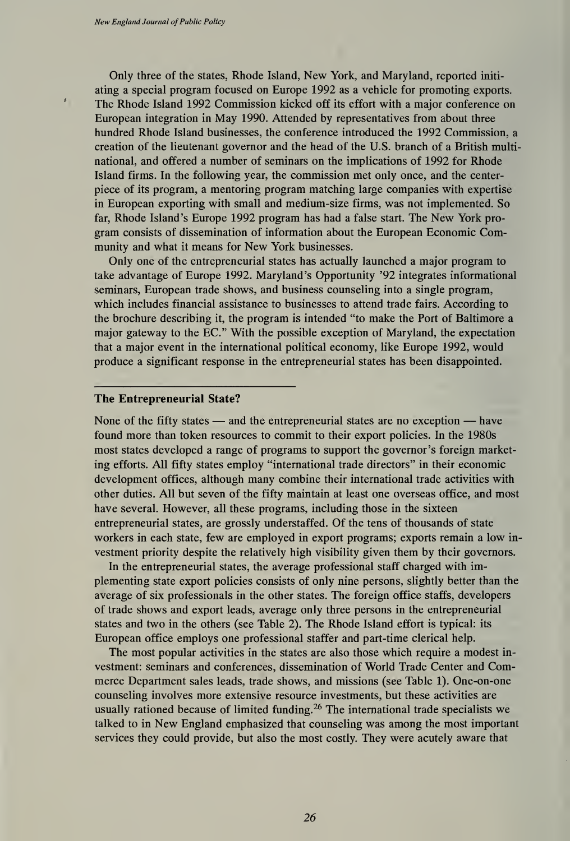Only three of the states, Rhode Island, New York, and Maryland, reported initi ating a special program focused on Europe 1992 as a vehicle for promoting exports. The Rhode Island 1992 Commission kicked off its effort with a major conference on European integration in May 1990. Attended by representatives from about three hundred Rhode Island businesses, the conference introduced the 1992 Commission, a creation of the lieutenant governor and the head of the U.S. branch of a British multinational, and offered a number of seminars on the implications of 1992 for Rhode Island firms. In the following year, the commission met only once, and the center piece of its program, a mentoring program matching large companies with expertise in European exporting with small and medium-size firms, was not implemented. So far, Rhode Island's Europe 1992 program has had <sup>a</sup> false start. The New York pro gram consists of dissemination of information about the European Economic Community and what it means for New York businesses.

Only one of the entrepreneurial states has actually launched a major program to take advantage of Europe 1992. Maryland's Opportunity '92 integrates informational seminars, European trade shows, and business counseling into a single program, which includes financial assistance to businesses to attend trade fairs. According to the brochure describing it, the program is intended "to make the Port of Baltimore a major gateway to the EC." With the possible exception of Maryland, the expectation that a major event in the international political economy, like Europe 1992, would produce a significant response in the entrepreneurial states has been disappointed.

#### The Entrepreneurial State?

None of the fifty states — and the entrepreneurial states are no exception — have found more than token resources to commit to their export policies. In the 1980s most states developed a range of programs to support the governor's foreign marketing efforts. All fifty states employ "international trade directors" in their economic development offices, although many combine their international trade activities with other duties. All but seven of the fifty maintain at least one overseas office, and most have several. However, all these programs, including those in the sixteen entrepreneurial states, are grossly understaffed. Of the tens of thousands of state workers in each state, few are employed in export programs; exports remain a low in vestment priority despite the relatively high visibility given them by their governors.

In the entrepreneurial states, the average professional staff charged with implementing state export policies consists of only nine persons, slightly better than the average of six professionals in the other states. The foreign office staffs, developers of trade shows and export leads, average only three persons in the entrepreneurial states and two in the others (see Table 2). The Rhode Island effort is typical: its European office employs one professional staffer and part-time clerical help.

The most popular activities in the states are also those which require a modest in vestment: seminars and conferences, dissemination of World Trade Center and Commerce Department sales leads, trade shows, and missions (see Table 1). One-on-one counseling involves more extensive resource investments, but these activities are usually rationed because of limited funding.<sup>26</sup> The international trade specialists we talked to in New England emphasized that counseling was among the most important services they could provide, but also the most costly. They were acutely aware that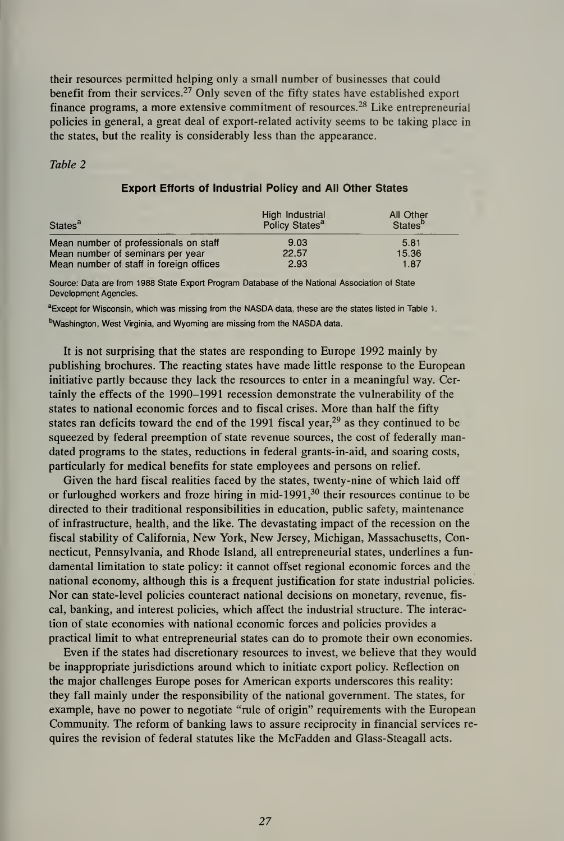their resources permitted helping only a small number of businesses that could benefit from their services.<sup>27</sup> Only seven of the fifty states have established export finance programs, a more extensive commitment of resources. <sup>28</sup> Like entrepreneurial policies in general, a great deal of export-related activity seems to be taking place in the states, but the reality is considerably less than the appearance.

### Table 2

| States <sup>a</sup>                     | High Industrial<br>Policy States <sup>a</sup> | All Other<br>States <sup>p</sup> |
|-----------------------------------------|-----------------------------------------------|----------------------------------|
| Mean number of professionals on staff   | 9.03                                          | 5.81                             |
| Mean number of seminars per year        | 22.57                                         | 15.36                            |
| Mean number of staff in foreign offices | 2.93                                          | 1.87                             |

# Export Efforts of Industrial Policy and All Other States

Source: Data are from 1988 State Export Program Database of the National Association of State Development Agencies.

<sup>a</sup>Except for Wisconsin, which was missing from the NASDA data, these are the states listed in Table 1. bWashington, West Virginia, and Wyoming are missing from the NASDA data.

It is not surprising that the states are responding to Europe 1992 mainly by publishing brochures. The reacting states have made little response to the European initiative partly because they lack the resources to enter in a meaningful way. Certainly the effects of the 1990-1991 recession demonstrate the vulnerability of the states to national economic forces and to fiscal crises. More than half the fifty states ran deficits toward the end of the 1991 fiscal year, $^{29}$  as they continued to be squeezed by federal preemption of state revenue sources, the cost of federally mandated programs to the states, reductions in federal grants-in-aid, and soaring costs, particularly for medical benefits for state employees and persons on relief.

Given the hard fiscal realities faced by the states, twenty-nine of which laid off or furloughed workers and froze hiring in mid-1991, $30$  their resources continue to be directed to their traditional responsibilities in education, public safety, maintenance of infrastructure, health, and the like. The devastating impact of the recession on the fiscal stability of California, New York, New Jersey, Michigan, Massachusetts, Connecticut, Pennsylvania, and Rhode Island, all entrepreneurial states, underlines a fun damental limitation to state policy: it cannot offset regional economic forces and the national economy, although this is a frequent justification for state industrial policies. Nor can state-level policies counteract national decisions on monetary, revenue, fis cal, banking, and interest policies, which affect the industrial structure. The interac tion of state economies with national economic forces and policies provides a practical limit to what entrepreneurial states can do to promote their own economies.

Even if the states had discretionary resources to invest, we believe that they would be inappropriate jurisdictions around which to initiate export policy. Reflection on the major challenges Europe poses for American exports underscores this reality: they fall mainly under the responsibility of the national government. The states, for example, have no power to negotiate "rule of origin" requirements with the European Community. The reform of banking laws to assure reciprocity in financial services re quires the revision of federal statutes like the McFadden and Glass-Steagall acts.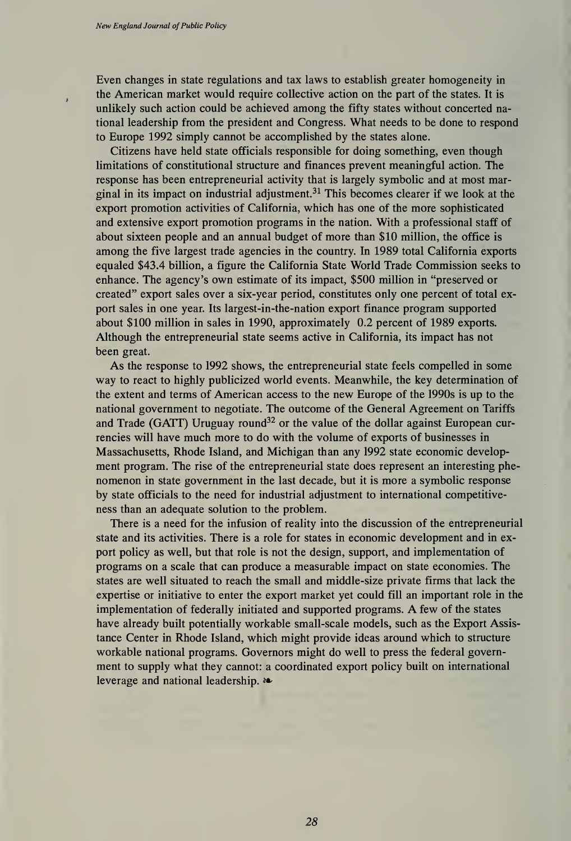Even changes in state regulations and tax laws to establish greater homogeneity in the American market would require collective action on the part of the states. It is unlikely such action could be achieved among the fifty states without concerted national leadership from the president and Congress. What needs to be done to respond to Europe 1992 simply cannot be accomplished by the states alone.

Citizens have held state officials responsible for doing something, even though limitations of constitutional structure and finances prevent meaningful action. The response has been entrepreneurial activity that is largely symbolic and at most marginal in its impact on industrial adjustment.<sup>31</sup> This becomes clearer if we look at the export promotion activities of California, which has one of the more sophisticated and extensive export promotion programs in the nation. With a professional staff of about sixteen people and an annual budget of more than \$10 million, the office is among the five largest trade agencies in the country. In 1989 total California exports equaled \$43.4 billion, a figure the California State World Trade Commission seeks to enhance. The agency's own estimate of its impact, \$500 million in "preserved or created" export sales over a six-year period, constitutes only one percent of total export sales in one year. Its largest-in-the-nation export finance program supported about \$100 million in sales in 1990, approximately 0.2 percent of 1989 exports. Although the entrepreneurial state seems active in California, its impact has not been great.

As the response to 1992 shows, the entrepreneurial state feels compelled in some way to react to highly publicized world events. Meanwhile, the key determination of the extent and terms of American access to the new Europe of the 1990s is up to the national government to negotiate. The outcome of the General Agreement on Tariffs and Trade (GATT) Uruguay round<sup>32</sup> or the value of the dollar against European currencies will have much more to do with the volume of exports of businesses in Massachusetts, Rhode Island, and Michigan than any 1992 state economic development program. The rise of the entrepreneurial state does represent an interesting phe nomenon in state government in the last decade, but it is more a symbolic response by state officials to the need for industrial adjustment to international competitive ness than an adequate solution to the problem.

There is a need for the infusion of reality into the discussion of the entrepreneurial state and its activities. There is a role for states in economic development and in export policy as well, but that role is not the design, support, and implementation of programs on a scale that can produce a measurable impact on state economies. The states are well situated to reach the small and middle-size private firms that lack the expertise or initiative to enter the export market yet could fill an important role in the implementation of federally initiated and supported programs. A few of the states have already built potentially workable small-scale models, such as the Export Assis tance Center in Rhode Island, which might provide ideas around which to structure workable national programs. Governors might do well to press the federal government to supply what they cannot: a coordinated export policy built on international leverage and national leadership. \*\*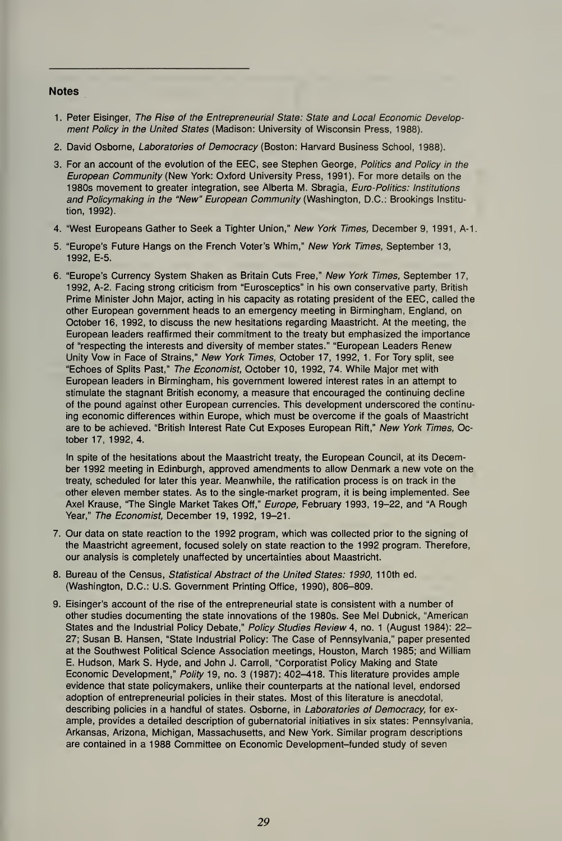#### **Notes**

- 1 Peter Eisinger, The Rise of the Entrepreneurial State: State and Local Economic Develop ment Policy in the United States (Madison: University of Wisconsin Press, 1988).
- 2. David Osborne, Laboratories of Democracy (Boston: Harvard Business School, 1988).
- 3. For an account of the evolution of the EEC, see Stephen George, Politics and Policy in the European Community (New York: Oxford University Press, 1991). For more details on the 1980s movement to greater integration, see Alberta M. Sbragia, Euro-Politics: Institutions and Policymaking in the "New" European Community (Washington, D.C.: Brookings Institution, 1992).
- 4. "West Europeans Gather to Seek a Tighter Union," New York Times, December 9, 1991, A-1.
- 5. "Europe's Future Hangs on the French Voter's Whim," New York Times, September 13, 1992, E-5.
- 6. "Europe's Currency System Shaken as Britain Cuts Free," New York Times, September 17, 1992, A-2. Facing strong criticism from "Eurosceptics" in his own conservative party, British Prime Minister John Major, acting in his capacity as rotating president of the EEC, called the other European government heads to an emergency meeting in Birmingham, England, on October 16, 1992, to discuss the new hesitations regarding Maastricht. At the meeting, the European leaders reaffirmed their commitment to the treaty but emphasized the importance of "respecting the interests and diversity of member states." "European Leaders Renew Unity Vow in Face of Strains," New York Times, October 17, 1992, 1. For Tory split, see "Echoes of Splits Past," The Economist, October 10, 1992, 74. While Major met with European leaders in Birmingham, his government lowered interest rates in an attempt to stimulate the stagnant British economy, a measure that encouraged the continuing decline of the pound against other European currencies. This development underscored the continuing economic differences within Europe, which must be overcome if the goals of Maastricht are to be achieved. "British Interest Rate Cut Exposes European Rift," New York Times, October 17, 1992, 4.

In spite of the hesitations about the Maastricht treaty, the European Council, at its December 1992 meeting in Edinburgh, approved amendments to allow Denmark a new vote on the treaty, scheduled for later this year. Meanwhile, the ratification process is on track in the other eleven member states. As to the single-market program, it is being implemented. See Axel Krause, "The Single Market Takes Off," Europe, February 1993, 19-22, and "A Rough Year," The Economist, December 19, 1992, 19-21.

- 7. Our data on state reaction to the 1992 program, which was collected prior to the signing of the Maastricht agreement, focused solely on state reaction to the 1992 program. Therefore, our analysis is completely unaffected by uncertainties about Maastricht.
- 8. Bureau of the Census, Statistical Abstract of the United States: 1990, 110th ed. (Washington, D.C.: U.S. Government Printing Office, 1990), 806-809.
- 9. Eisinger's account of the rise of the entrepreneurial state is consistent with a number of other studies documenting the state innovations of the 1980s. See Mel Dubnick, "American States and the Industrial Policy Debate," *Policy Studies Review* 4, no. 1 (August 1984): 22– 27; Susan B. Hansen, "State Industrial Policy: The Case of Pennsylvania," paper presented at the Southwest Political Science Association meetings, Houston, March 1985; and William E. Hudson, Mark S. Hyde, and John J. Carroll, "Corporatist Policy Making and State Economic Development," Polity 19, no. 3 (1987): 402-418. This literature provides ample evidence that state policymakers, unlike their counterparts at the national level, endorsed adoption of entrepreneurial policies in their states. Most of this literature is anecdotal, describing policies in a handful of states. Osborne, in Laboratories of Democracy, for example, provides a detailed description of gubernatorial initiatives in six states: Pennsylvania, Arkansas, Arizona, Michigan, Massachusetts, and New York. Similar program descriptions are contained in a 1988 Committee on Economic Development-funded study of seven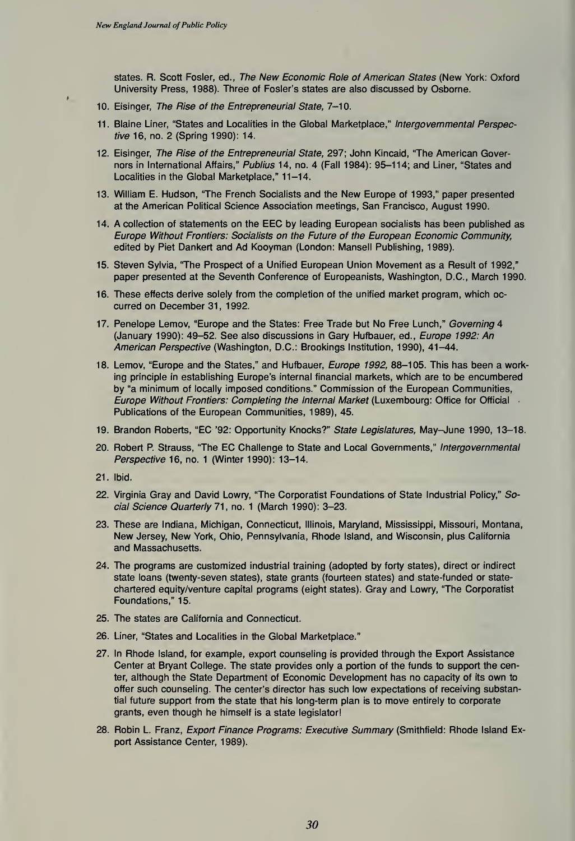states. R. Scott Fosler, ed., The New Economic Role of American States (New York: Oxford University Press, <sup>1</sup> 988). Three of Fosler's states are also discussed by Osborne.

- 10. Eisinger, The Rise of the Entrepreneurial State, 7-10.
- 11. Blaine Liner, "States and Localities in the Global Marketplace," Intergovernmental Perspective 16, no. 2 (Spring 1990): 14.
- 12. Eisinger, The Rise of the Entrepreneurial State, 297; John Kincaid, "The American Governors in International Affairs," Publius 14, no. 4 (Fall 1984): 95-114; and Liner, "States and Localities in the Global Marketplace," 11-14.
- 13. William E. Hudson, 'The French Socialists and the New Europe of 1993," paper presented at the American Political Science Association meetings, San Francisco, August 1990.
- 14. A collection of statements on the EEC by leading European socialists has been published as Europe Without Frontiers: Socialists on the Future of the European Economic Community, edited by Piet Dankert and Ad Kooyman (London: Mansell Publishing, 1989).
- 15. Steven Sylvia, 'The Prospect of a Unified European Union Movement as a Result of 1992," paper presented at the Seventh Conference of Europeanists, Washington, D.C., March 1990.
- 16. These effects derive solely from the completion of the unified market program, which oc curred on December 31, 1992.
- 17. Penelope Lemov, "Europe and the States: Free Trade but No Free Lunch," Governing 4 (January 1990): 49-52. See also discussions in Gary Hufbauer, ed., Europe 1992: An American Perspective (Washington, D.C.: Brookings Institution, 1990), 41-44.
- 18. Lemov, "Europe and the States," and Hufbauer, Europe 1992, 88-105. This has been a working principle in establishing Europe's internal financial markets, which are to be encumbered by "a minimum of locally imposed conditions." Commission of the European Communities, Europe Without Frontiers: Completing the Internal Market (Luxembourg: Office for Official Publications of the European Communities, 1989), 45.
- 19. Brandon Roberts, "EC '92: Opportunity Knocks?" State Legislatures, May-June 1990, 13-18.
- 20. Robert P. Strauss, "The EC Challenge to State and Local Governments," Intergovernmental Perspective 16, no. <sup>1</sup> (Winter 1990): 13-14.
- 21. Ibid.
- 22. Virginia Gray and David Lowry, "The Corporatist Foundations of State Industrial Policy," Social Science Quarterly 71, no. <sup>1</sup> (March 1990): 3-23.
- 23. These are Indiana, Michigan, Connecticut, Illinois, Maryland, Mississippi, Missouri, Montana, New Jersey, New York, Ohio, Pennsylvania, Rhode Island, and Wisconsin, plus California and Massachusetts.
- 24. The programs are customized industrial training (adopted by forty states), direct or indirect state loans (twenty-seven states), state grants (fourteen states) and state-funded or state chartered equity/venture capital programs (eight states). Gray and Lowry, "The Corporatist Foundations," 15.
- 25. The states are California and Connecticut.
- 26. Liner, "States and Localities in the Global Marketplace."
- 27. In Rhode Island, for example, export counseling is provided through the Export Assistance Center at Bryant College. The state provides only a portion of the funds to support the center, although the State Department of Economic Development has no capacity of its own to offer such counseling. The center's director has such low expectations of receiving substantial future support from the state that his long-term plan is to move entirely to corporate grants, even though he himself is a state legislator!
- 28. Robin L. Franz, Export Finance Programs: Executive Summary (Smithfield: Rhode Island Export Assistance Center, 1989).